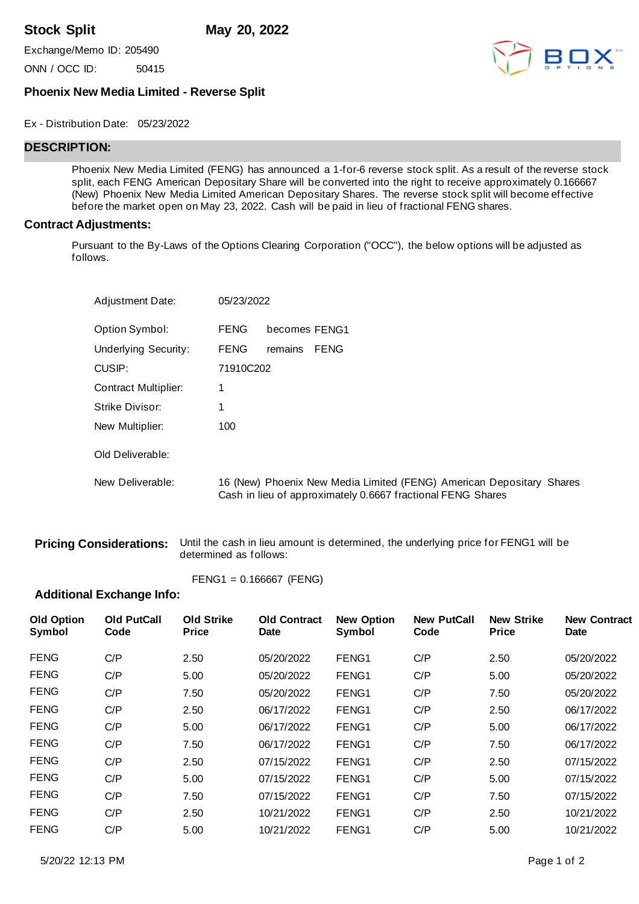**Stock Split May 20, 2022**

Exchange/Memo ID: 205490

ONN / OCC ID: 50415



## **Phoenix New Media Limited - Reverse Split**

#### Ex - Distribution Date: 05/23/2022

# **DESCRIPTION:**

Phoenix New Media Limited (FENG) has announced a 1-for-6 reverse stock split. As a result of the reverse stock split, each FENG American Depositary Share will be converted into the right to receive approximately 0.166667 (New) Phoenix New Media Limited American Depositary Shares. The reverse stock split will become effective before the market open on May 23, 2022. Cash will be paid in lieu of fractional FENG shares.

#### **Contract Adjustments:**

Pursuant to the By-Laws of the Options Clearing Corporation ("OCC"), the below options will be adjusted as follows.

| <b>Adjustment Date:</b>     | 05/23/2022  |                                                                                                                                     |
|-----------------------------|-------------|-------------------------------------------------------------------------------------------------------------------------------------|
| Option Symbol:              | <b>FENG</b> | becomes FENG1                                                                                                                       |
| <b>Underlying Security:</b> | <b>FENG</b> | FENG<br>remains                                                                                                                     |
| CUSIP:                      | 71910C202   |                                                                                                                                     |
| <b>Contract Multiplier:</b> | 1           |                                                                                                                                     |
| Strike Divisor:             |             |                                                                                                                                     |
| New Multiplier:             | 100         |                                                                                                                                     |
| Old Deliverable:            |             |                                                                                                                                     |
| New Deliverable:            |             | 16 (New) Phoenix New Media Limited (FENG) American Depositary Shares<br>Cash in lieu of approximately 0.6667 fractional FENG Shares |

**Pricing Considerations:** Until the cash in lieu amount is determined, the underlying price for FENG1 will be determined as follows:

$$
FENG1 = 0.166667 (FENG)
$$

### **Additional Exchange Info:**

| <b>Old Option</b><br>Symbol | <b>Old PutCall</b><br>Code | <b>Old Strike</b><br><b>Price</b> | <b>Old Contract</b><br><b>Date</b> | <b>New Option</b><br>Symbol | <b>New PutCall</b><br>Code | <b>New Strike</b><br><b>Price</b> | <b>New Contract</b><br><b>Date</b> |
|-----------------------------|----------------------------|-----------------------------------|------------------------------------|-----------------------------|----------------------------|-----------------------------------|------------------------------------|
| <b>FENG</b>                 | C/P                        | 2.50                              | 05/20/2022                         | FENG1                       | C/P                        | 2.50                              | 05/20/2022                         |
| <b>FENG</b>                 | C/P                        | 5.00                              | 05/20/2022                         | FENG1                       | C/P                        | 5.00                              | 05/20/2022                         |
| <b>FENG</b>                 | C/P                        | 7.50                              | 05/20/2022                         | FENG1                       | C/P                        | 7.50                              | 05/20/2022                         |
| <b>FENG</b>                 | C/P                        | 2.50                              | 06/17/2022                         | FENG1                       | C/P                        | 2.50                              | 06/17/2022                         |
| <b>FENG</b>                 | C/P                        | 5.00                              | 06/17/2022                         | FENG1                       | C/P                        | 5.00                              | 06/17/2022                         |
| <b>FENG</b>                 | C/P                        | 7.50                              | 06/17/2022                         | FENG1                       | C/P                        | 7.50                              | 06/17/2022                         |
| <b>FENG</b>                 | C/P                        | 2.50                              | 07/15/2022                         | FENG1                       | C/P                        | 2.50                              | 07/15/2022                         |
| <b>FENG</b>                 | C/P                        | 5.00                              | 07/15/2022                         | FENG1                       | C/P                        | 5.00                              | 07/15/2022                         |
| <b>FENG</b>                 | C/P                        | 7.50                              | 07/15/2022                         | FENG1                       | C/P                        | 7.50                              | 07/15/2022                         |
| <b>FENG</b>                 | C/P                        | 2.50                              | 10/21/2022                         | FENG <sub>1</sub>           | C/P                        | 2.50                              | 10/21/2022                         |
| <b>FENG</b>                 | C/P                        | 5.00                              | 10/21/2022                         | FENG1                       | C/P                        | 5.00                              | 10/21/2022                         |